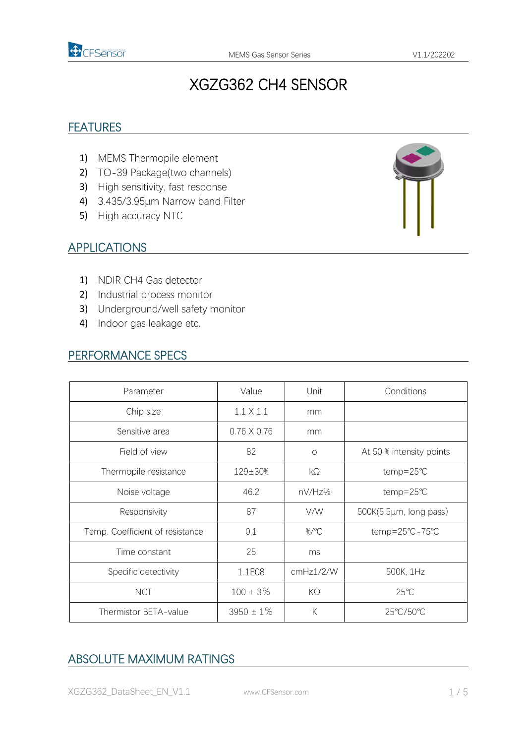

# XGZG362 CH4 SENSOR

### **FEATURES**

- 1) MEMS Thermopile element
- 2) TO-39 Package(two channels)
- 3) High sensitivity, fast response
- 4) 3.435/3.95μm Narrow band Filter
- 5) High accuracy NTC



#### APPLICATIONS

- 1) NDIR CH4 Gas detector
- 2) Industrial process monitor
- 3) Underground/well safety monitor
- 4) Indoor gas leakage etc.

#### PERFORMANCE SPECS

| Parameter                       | Value              | Unit      | Conditions               |
|---------------------------------|--------------------|-----------|--------------------------|
| Chip size                       | $1.1 \times 1.1$   | mm        |                          |
| Sensitive area                  | $0.76 \times 0.76$ | mm        |                          |
| Field of view                   | 82                 | $\circ$   | At 50 % intensity points |
| Thermopile resistance           | 129±30%            | $k\Omega$ | temp=25℃                 |
| Noise voltage                   | 46.2               | nV/Hz½    | temp=25℃                 |
| Responsivity                    | 87                 | V/W       | 500K(5.5µm, long pass)   |
| Temp. Coefficient of resistance | 0.1                | %/°C      | temp=25°C-75°C           |
| Time constant                   | 25                 | ms        |                          |
| Specific detectivity            | 1.1E08             | cmHz1/2/W | 500K, 1Hz                |
| <b>NCT</b>                      | $100 \pm 3\%$      | $K\Omega$ | $25^{\circ}$ C           |
| Thermistor BETA-value           | $3950 \pm 1\%$     | К         | 25°C/50°C                |
|                                 |                    |           |                          |

# ABSOLUTE MAXIMUM RATINGS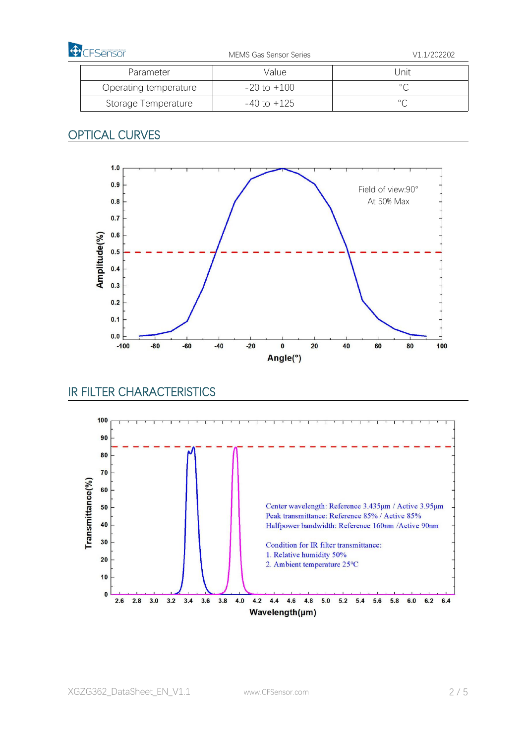| <b>D</b> CFSensor     | <b>MEMS Gas Sensor Series</b> | V1.1/202202 |
|-----------------------|-------------------------------|-------------|
| Parameter             | Valuel                        | Unit        |
| Operating temperature | $-20$ to $+100$               |             |
| Storage Temperature   | -40 to +125                   |             |

### **OPTICAL CURVES**



### IR FILTER CHARACTERISTICS

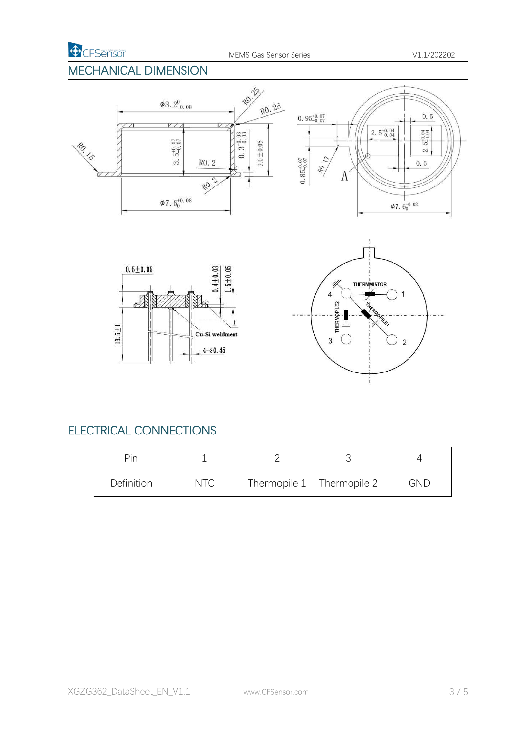### MECHANICAL DIMENSION



# ELECTRICAL CONNECTIONS

| Pin        |  |                             |            |
|------------|--|-----------------------------|------------|
| Definition |  | Thermopile $1$ Thermopile 2 | <b>GND</b> |

i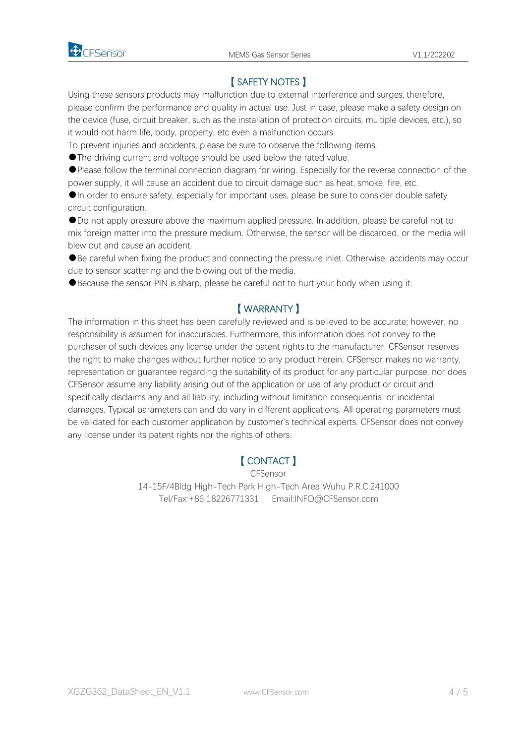

### 【 SAFETY NOTES 】

Using these sensors products may malfunction due to external interference and surges, therefore, please confirm the performance and quality in actual use. Just in case, please make a safety design on the device (fuse, circuit breaker, such as the installation of protection circuits, multiple devices, etc.), so it would not harm life, body, property, etc even a malfunction occurs.

To prevent injuries and accidents, please be sure to observe the following items:

●The driving current and voltage should be used below the rated value.

●Please follow the terminal connection diagram for wiring. Especially for the reverse connection of the power supply, it will cause an accident due to circuit damage such as heat, smoke, fire, etc.

●In order to ensure safety, especially for important uses, please be sure to consider double safety circuit configuration.

●Do not apply pressure above the maximum applied pressure. In addition, please be careful not to mix foreign matter into the pressure medium. Otherwise, the sensor will be discarded, or the media will blew out and cause an accident.<br>●Be careful when fixing the product and connecting the pressure inlet. Otherwise, accidents may occur

due to sensor scattering and the blowing out of the media.

●Because the sensor PIN is sharp, please be careful not to hurt your body when using it.

### 【 WARRANTY 】

The information in this sheet has been carefully reviewed and is believed to be accurate; however, no responsibility is assumed for inaccuracies. Furthermore, this information does not convey to the purchaser of such devices any license under the patent rights to the manufacturer. CFSensor reserves the right to make changes without further notice to any product herein. CFSensor makes no warranty, representation or guarantee regarding the suitability of its product for any particular purpose, nor does CFSensor assume any liability arising out of the application or use of any product or circuit and specifically disclaims any and all liability, including without limitation consequential or incidental damages. Typical parameters can and do vary in different applications. All operating parameters must be validated for each customer application by customer's technical experts. CFSensor does not convey any license under its patent rights nor the rights of others.

### 【 CONTACT 】

CFSensor 14-15F/4Bldg High-Tech Park High-Tech Area Wuhu P.R.C.241000 Tel/Fax:+86 18226771331 Email:INFO@CFSensor.com